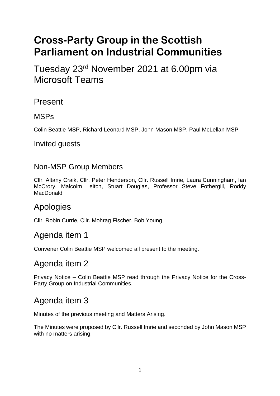# **Cross-Party Group in the Scottish Parliament on Industrial Communities**

Tuesday 23<sup>rd</sup> November 2021 at 6.00pm via Microsoft Teams

Present

### MSPs

Colin Beattie MSP, Richard Leonard MSP, John Mason MSP, Paul McLellan MSP

#### Invited guests

### Non-MSP Group Members

Cllr. Altany Craik, Cllr. Peter Henderson, Cllr. Russell Imrie, Laura Cunningham, Ian McCrory, Malcolm Leitch, Stuart Douglas, Professor Steve Fothergill, Roddy MacDonald

## Apologies

Cllr. Robin Currie, Cllr. Mohrag Fischer, Bob Young

## Agenda item 1

Convener Colin Beattie MSP welcomed all present to the meeting.

## Agenda item 2

Privacy Notice – Colin Beattie MSP read through the Privacy Notice for the Cross-Party Group on Industrial Communities.

# Agenda item 3

Minutes of the previous meeting and Matters Arising.

The Minutes were proposed by Cllr. Russell Imrie and seconded by John Mason MSP with no matters arising.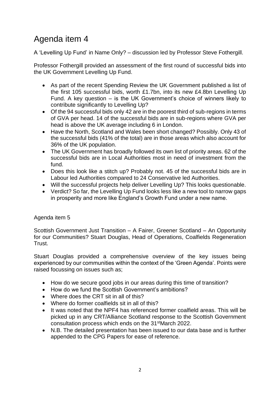# Agenda item 4

A 'Levelling Up Fund' in Name Only? – discussion led by Professor Steve Fothergill.

Professor Fothergill provided an assessment of the first round of successful bids into the UK Government Levelling Up Fund.

- As part of the recent Spending Review the UK Government published a list of the first 105 successful bids, worth £1.7bn, into its new £4.8bn Levelling Up Fund. A key question – is the UK Government's choice of winners likely to contribute significantly to Levelling Up?
- Of the 94 successful bids only 42 are in the poorest third of sub-regions in terms of GVA per head. 14 of the successful bids are in sub-regions where GVA per head is above the UK average including 6 in London.
- Have the North, Scotland and Wales been short changed? Possibly. Only 43 of the successful bids (41% of the total) are in those areas which also account for 36% of the UK population.
- The UK Government has broadly followed its own list of priority areas. 62 of the successful bids are in Local Authorities most in need of investment from the fund.
- Does this look like a stitch up? Probably not. 45 of the successful bids are in Labour led Authorities compared to 24 Conservative led Authorities.
- Will the successful projects help deliver Levelling Up? This looks questionable.
- Verdict? So far, the Levelling Up Fund looks less like a new tool to narrow gaps in prosperity and more like England's Growth Fund under a new name.

#### Agenda item 5

Scottish Government Just Transition – A Fairer, Greener Scotland – An Opportunity for our Communities? Stuart Douglas, Head of Operations, Coalfields Regeneration Trust.

Stuart Douglas provided a comprehensive overview of the key issues being experienced by our communities within the context of the 'Green Agenda'. Points were raised focussing on issues such as;

- How do we secure good jobs in our areas during this time of transition?
- How do we fund the Scottish Government's ambitions?
- Where does the CRT sit in all of this?
- Where do former coalfields sit in all of this?
- It was noted that the NPF4 has referenced former coalfield areas. This will be picked up in any CRT/Alliance Scotland response to the Scottish Government consultation process which ends on the 31stMarch 2022.
- N.B. The detailed presentation has been issued to our data base and is further appended to the CPG Papers for ease of reference.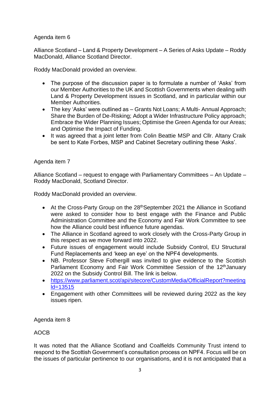#### Agenda item 6

Alliance Scotland – Land & Property Development – A Series of Asks Update – Roddy MacDonald, Alliance Scotland Director.

Roddy MacDonald provided an overview.

- The purpose of the discussion paper is to formulate a number of 'Asks' from our Member Authorities to the UK and Scottish Governments when dealing with Land & Property Development issues in Scotland, and in particular within our Member Authorities.
- The key 'Asks' were outlined as Grants Not Loans; A Multi- Annual Approach; Share the Burden of De-Risking; Adopt a Wider Infrastructure Policy approach; Embrace the Wider Planning Issues; Optimise the Green Agenda for our Areas; and Optimise the Impact of Funding.
- It was agreed that a joint letter from Colin Beattie MSP and Cllr. Altany Craik be sent to Kate Forbes, MSP and Cabinet Secretary outlining these 'Asks'.

#### Agenda item 7

Alliance Scotland – request to engage with Parliamentary Committees – An Update – Roddy MacDonald, Scotland Director.

Roddy MacDonald provided an overview.

- At the Cross-Party Group on the 28<sup>th</sup>September 2021 the Alliance in Scotland were asked to consider how to best engage with the Finance and Public Administration Committee and the Economy and Fair Work Committee to see how the Alliance could best influence future agendas.
- The Alliance in Scotland agreed to work closely with the Cross-Party Group in this respect as we move forward into 2022.
- Future issues of engagement would include Subsidy Control, EU Structural Fund Replacements and 'keep an eye' on the NPF4 developments.
- NB. Professor Steve Fothergill was invited to give evidence to the Scottish Parliament Economy and Fair Work Committee Session of the 12<sup>th</sup>January 2022 on the Subsidy Control Bill. The link is below.
- [https://www.parliament.scot/api/sitecore/CustomMedia/OfficialReport?meeting](https://www.parliament.scot/api/sitecore/CustomMedia/OfficialReport?meetingld=13515) [ld=13515](https://www.parliament.scot/api/sitecore/CustomMedia/OfficialReport?meetingld=13515)
- Engagement with other Committees will be reviewed during 2022 as the key issues ripen.

Agenda item 8

#### AOCB

It was noted that the Alliance Scotland and Coalfields Community Trust intend to respond to the Scottish Government's consultation process on NPF4. Focus will be on the issues of particular pertinence to our organisations, and it is not anticipated that a